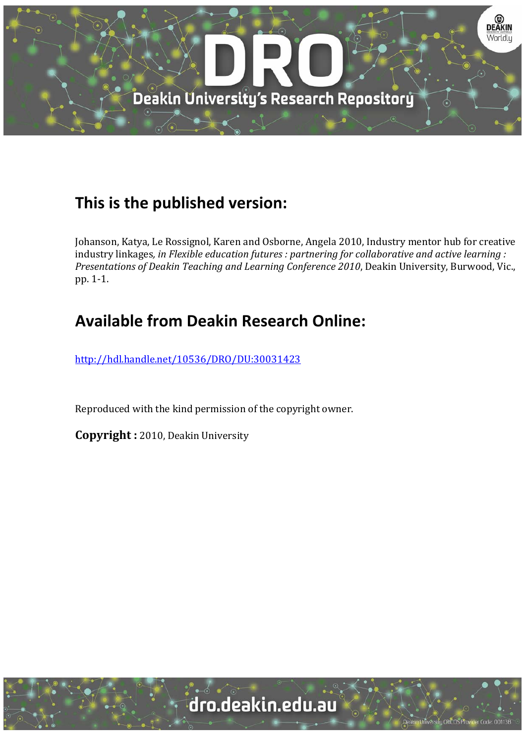

## **This is the published version:**

Johanson, Katya, Le Rossignol, Karen and Osborne, Angela 2010, Industry mentor hub for creative industry linkages*, in Flexible education futures : partnering for collaborative and active learning : Presentations of Deakin Teaching and Learning Conference 2010*, Deakin University, Burwood, Vic., pp. 1‐1. 

# **Available from Deakin Research Online:**

http://hdl.handle.net/10536/DRO/DU:30031423

Reproduced with the kind permission of the copyright owner.

**Copyright** : 2010, Deakin University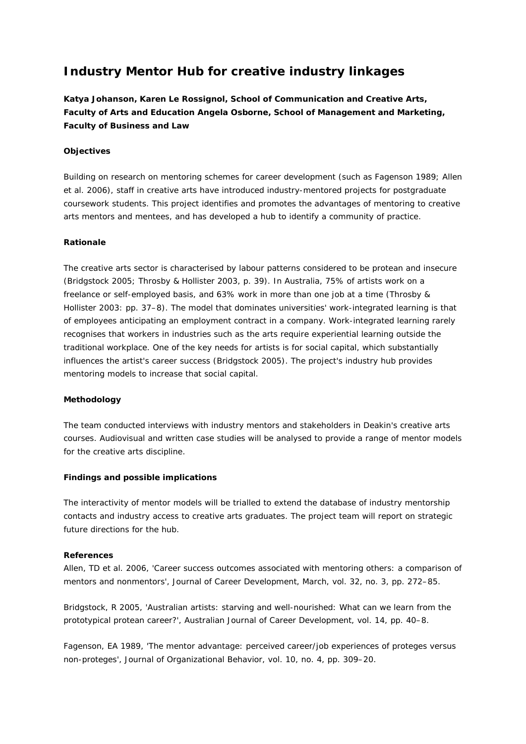### **Industry Mentor Hub for creative industry linkages**

**Katya Johanson, Karen Le Rossignol, School of Communication and Creative Arts, Faculty of Arts and Education Angela Osborne, School of Management and Marketing, Faculty of Business and Law**

### **Objectives**

Building on research on mentoring schemes for career development (such as Fagenson 1989; Allen et al. 2006), staff in creative arts have introduced industry-mentored projects for postgraduate coursework students. This project identifies and promotes the advantages of mentoring to creative arts mentors and mentees, and has developed a hub to identify a community of practice.

#### **Rationale**

The creative arts sector is characterised by labour patterns considered to be protean and insecure (Bridgstock 2005; Throsby & Hollister 2003, p. 39). In Australia, 75% of artists work on a freelance or self-employed basis, and 63% work in more than one job at a time (Throsby & Hollister 2003: pp. 37–8). The model that dominates universities' work-integrated learning is that of employees anticipating an employment contract in a company. Work-integrated learning rarely recognises that workers in industries such as the arts require experiential learning outside the traditional workplace. One of the key needs for artists is for social capital, which substantially influences the artist's career success (Bridgstock 2005). The project's industry hub provides mentoring models to increase that social capital.

#### **Methodology**

The team conducted interviews with industry mentors and stakeholders in Deakin's creative arts courses. Audiovisual and written case studies will be analysed to provide a range of mentor models for the creative arts discipline.

#### **Findings and possible implications**

The interactivity of mentor models will be trialled to extend the database of industry mentorship contacts and industry access to creative arts graduates. The project team will report on strategic future directions for the hub.

#### **References**

Allen, TD et al. 2006, 'Career success outcomes associated with mentoring others: a comparison of mentors and nonmentors', *Journal of Career Development*, March, vol. 32, no. 3, pp. 272–85.

Bridgstock, R 2005, 'Australian artists: starving and well-nourished: What can we learn from the prototypical protean career?', *Australian Journal of Career Development*, vol. 14, pp. 40–8.

Fagenson, EA 1989, 'The mentor advantage: perceived career/job experiences of proteges versus non-proteges', *Journal of Organizational Behavior*, vol. 10, no. 4, pp. 309–20.